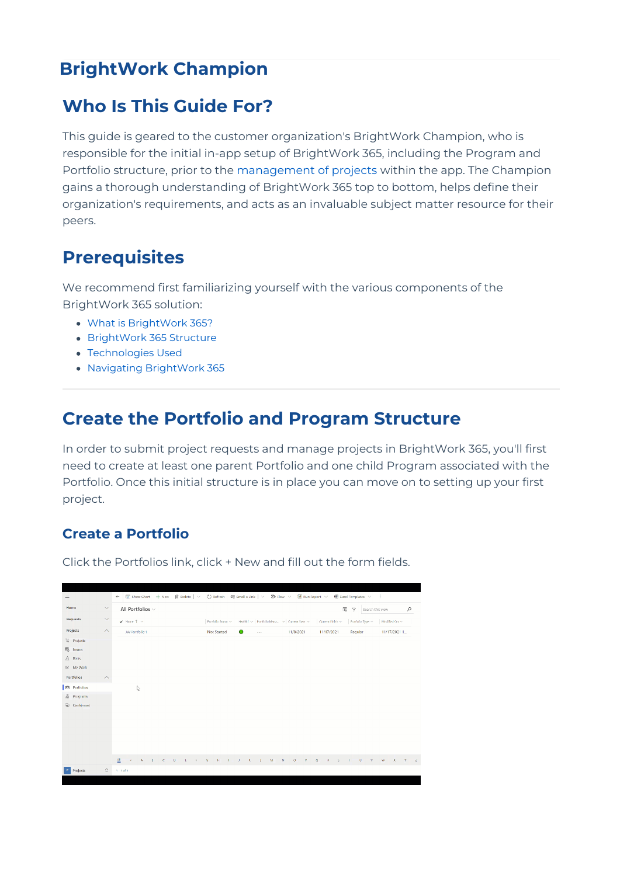# **BrightWork Champion**

## **Who Is This Guide For?**

This guide is geared to the customer organization's BrightWork Champion, who is responsible for the initial in-app setup of BrightWork 365, including the Program and Portfolio structure, prior to the [management](http://help365.brightwork.com/home/project-manager) of projects within the app. The Champion gains a thorough understanding of BrightWork 365 top to bottom, helps define their organization's requirements, and acts as an invaluable subject matter resource for their peers.

## **Prerequisites**

We recommend first familiarizing yourself with the various components of the BrightWork 365 solution:

- What is [BrightWork](http://help365.brightwork.com/home/what-is-brightwork-365) 365?
- [BrightWork](http://help365.brightwork.com/home/brightwork-365-structure) 365 Structure
- [Technologies](http://help365.brightwork.com/home/technologies-used) Used
- Navigating [BrightWork](http://help365.brightwork.com/home/navigating) 365

### **Create the Portfolio and Program Structure**

In order to submit project requests and manage projects in BrightWork 365, you'll first need to create at least one parent Portfolio and one child Program associated with the Portfolio. Once this initial structure is in place you can move on to setting up your first project.

### **Create a Portfolio**

Click the Portfolios link, click + New and fill out the form fields.

| $\equiv$                |                    | 图 Show Chart + New   前 Delete   ▽   C) Refresh   图 Email a Link   ▽   29 Flow マ   画 Run Report マ   朝 Excel Templates マ<br>÷<br>$\leftarrow$ |                    |                                           |                                                                                          |                                                                               |  |  |  |  |
|-------------------------|--------------------|---------------------------------------------------------------------------------------------------------------------------------------------|--------------------|-------------------------------------------|------------------------------------------------------------------------------------------|-------------------------------------------------------------------------------|--|--|--|--|
| Home                    | $\smallsetminus$   | All Portfolios v                                                                                                                            |                    |                                           |                                                                                          | $\overline{\text{TS}}$<br>$\mathcal{L}$<br>$\nabla$<br>Search this view       |  |  |  |  |
| <b>Requests</b>         | $\smallsetminus$   | $\blacktriangledown$ -Name $\uparrow \rightsquigarrow$                                                                                      | Portfolio Status > |                                           | Health   $\vee$   Portfolio Mana $\vee$   Current Start $\vee$     Current Finish $\vee$ | Partfolio Type<br>Modified On $\sim$                                          |  |  |  |  |
| Projects                | $\land$            | JW Portfolio 1                                                                                                                              | Not Started        | $\bullet$<br>$\sim$ $ -$                  | 11/17/2021<br>11/8/2021                                                                  | Regular<br>11/17/2021 1                                                       |  |  |  |  |
| Projects                |                    |                                                                                                                                             |                    |                                           |                                                                                          |                                                                               |  |  |  |  |
| 局 Issues                |                    |                                                                                                                                             |                    |                                           |                                                                                          |                                                                               |  |  |  |  |
| $\bigtriangleup$ -Risks |                    |                                                                                                                                             |                    |                                           |                                                                                          |                                                                               |  |  |  |  |
| $\mathbb{E}$ My Work    |                    |                                                                                                                                             |                    |                                           |                                                                                          |                                                                               |  |  |  |  |
| Portfolios              | $\curvearrowright$ |                                                                                                                                             |                    |                                           |                                                                                          |                                                                               |  |  |  |  |
| <b>自</b> Portfolios     |                    | I,                                                                                                                                          |                    |                                           |                                                                                          |                                                                               |  |  |  |  |
| $\frac{8}{60}$ Programs |                    |                                                                                                                                             |                    |                                           |                                                                                          |                                                                               |  |  |  |  |
| a) Dashboard            |                    |                                                                                                                                             |                    |                                           |                                                                                          |                                                                               |  |  |  |  |
|                         |                    |                                                                                                                                             |                    |                                           |                                                                                          |                                                                               |  |  |  |  |
|                         |                    |                                                                                                                                             |                    |                                           |                                                                                          |                                                                               |  |  |  |  |
|                         |                    |                                                                                                                                             |                    |                                           |                                                                                          |                                                                               |  |  |  |  |
|                         |                    |                                                                                                                                             |                    |                                           |                                                                                          |                                                                               |  |  |  |  |
|                         |                    |                                                                                                                                             |                    |                                           |                                                                                          |                                                                               |  |  |  |  |
|                         |                    | 셷<br>$\mu$<br>A.<br>$\mathbf{g}$<br>$\mathbf{C}$<br>Đ.<br>E<br>H.                                                                           | $\mathbf{G}$<br>F. | $\mathbf{K}$<br>M<br>$\overline{1}$<br>L. | $\mathbb N$<br>۰<br>Q<br>$\mathbb{R}$<br>R.                                              | <b>X</b> C<br>$\cup$<br>$M_{\odot}$<br>w<br>$\mathbf{Y}$<br>$\mathbb{Z}$<br>s |  |  |  |  |
| Projects                | $\circ$            | $1 - 1$ of $1$                                                                                                                              |                    |                                           |                                                                                          |                                                                               |  |  |  |  |